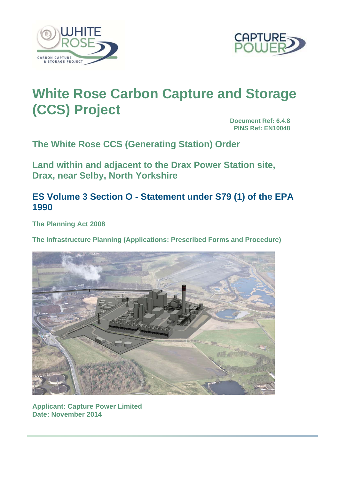



# **White Rose Carbon Capture and Storage (CCS) Project**

**Document Ref: 6.4.8 PINS Ref: EN10048**

**The White Rose CCS (Generating Station) Order** 

**Land within and adjacent to the Drax Power Station site, Drax, near Selby, North Yorkshire** 

**ES Volume 3 Section O - Statement under S79 (1) of the EPA 1990** 

**The Planning Act 2008** 

**The Infrastructure Planning (Applications: Prescribed Forms and Procedure)** 



**Applicant: Capture Power Limited Date: November 2014**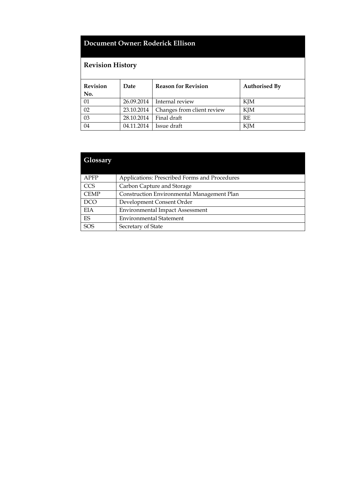# **Document Owner: Roderick Ellison**

# **Revision History**

| <b>Revision</b><br>No. | Date       | <b>Reason for Revision</b> | <b>Authorised By</b> |  |
|------------------------|------------|----------------------------|----------------------|--|
| -01                    | 26.09.2014 | Internal review            | KJM                  |  |
| 02                     | 23.10.2014 | Changes from client review | KJM                  |  |
| 03                     | 28.10.2014 | Final draft                | <b>RF</b>            |  |
| 04                     | 04.11.2014 | Issue draft                | KJM                  |  |

# **Glossary**  APFP Applications: Prescribed Forms and Procedures CCS Carbon Capture and Storage CEMP Construction Environmental Management Plan DCO Development Consent Order EIA Environmental Impact Assessment ES Environmental Statement SOS Secretary of State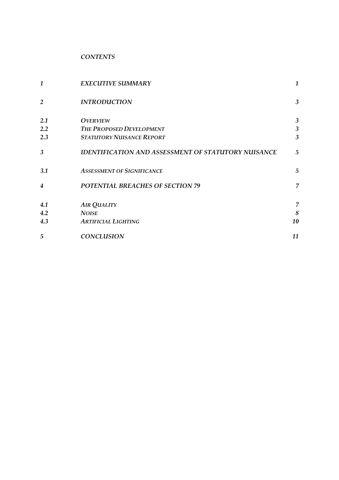*CONTENTS* 

| 1                       | <b>EXECUTIVE SUMMARY</b>                                   | $\mathbf{1}$            |
|-------------------------|------------------------------------------------------------|-------------------------|
| 2                       | <b>INTRODUCTION</b>                                        | $\mathfrak{Z}$          |
| 2.1                     | <b>OVERVIEW</b>                                            | $\mathfrak{Z}$          |
| 2.2                     | THE PROPOSED DEVELOPMENT                                   | $\mathfrak{Z}$          |
| 2.3                     | <b>STATUTORY NUISANCE REPORT</b>                           | $\overline{\mathbf{3}}$ |
| $\overline{\mathbf{3}}$ | <b>IDENTIFICATION AND ASSESSMENT OF STATUTORY NUISANCE</b> | 5                       |
| 3.1                     | <b>ASSESSMENT OF SIGNIFICANCE</b>                          | 5                       |
| 4                       | POTENTIAL BREACHES OF SECTION 79                           | 7                       |
| 4.1                     | <b>AIR QUALITY</b>                                         | 7                       |
| 4.2                     | <b>NOISE</b>                                               | 8                       |
| 4.3                     | <b>ARTIFICIAL LIGHTING</b>                                 | 10                      |
| 5                       | <b>CONCLUSION</b>                                          | 11                      |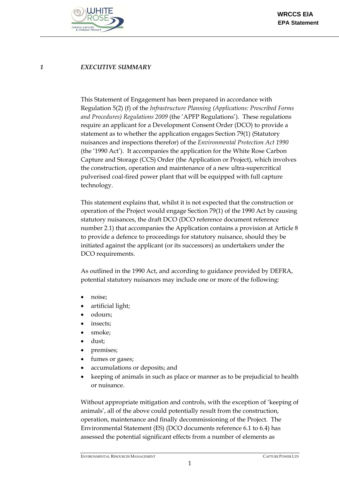

#### *1 EXECUTIVE SUMMARY*

This Statement of Engagement has been prepared in accordance with Regulation 5(2) (f) of the *Infrastructure Planning (Applications: Prescribed Forms and Procedures) Regulations 2009* (the 'APFP Regulations'). These regulations require an applicant for a Development Consent Order (DCO) to provide a statement as to whether the application engages Section 79(1) (Statutory nuisances and inspections therefor) of the *Environmental Protection Act 1990* (the '1990 Act'). It accompanies the application for the White Rose Carbon Capture and Storage (CCS) Order (the Application or Project), which involves the construction, operation and maintenance of a new ultra-supercritical pulverised coal-fired power plant that will be equipped with full capture technology.

This statement explains that, whilst it is not expected that the construction or operation of the Project would engage Section 79(1) of the 1990 Act by causing statutory nuisances, the draft DCO (DCO reference document reference number 2.1) that accompanies the Application contains a provision at Article 8 to provide a defence to proceedings for statutory nuisance, should they be initiated against the applicant (or its successors) as undertakers under the DCO requirements.

As outlined in the 1990 Act, and according to guidance provided by DEFRA, potential statutory nuisances may include one or more of the following:

- noise;
- artificial light;
- odours;
- insects;
- smoke;
- dust;
- premises;
- fumes or gases;
- accumulations or deposits; and
- keeping of animals in such as place or manner as to be prejudicial to health or nuisance.

Without appropriate mitigation and controls, with the exception of 'keeping of animals', all of the above could potentially result from the construction, operation, maintenance and finally decommissioning of the Project. The Environmental Statement (ES) (DCO documents reference 6.1 to 6.4) has assessed the potential significant effects from a number of elements as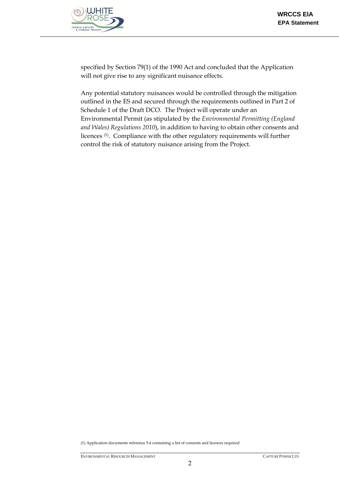

specified by Section 79(1) of the 1990 Act and concluded that the Application will not give rise to any significant nuisance effects.

Any potential statutory nuisances would be controlled through the mitigation outlined in the ES and secured through the requirements outlined in Part 2 of Schedule 1 of the Draft DCO. The Project will operate under an Environmental Permit (as stipulated by the *Environmental Permitting (England and Wales) Regulations 2010*), in addition to having to obtain other consents and licences (1). Compliance with the other regulatory requirements will further control the risk of statutory nuisance arising from the Project.

(1) Application documents reference 5.4 containing a list of consents and licences required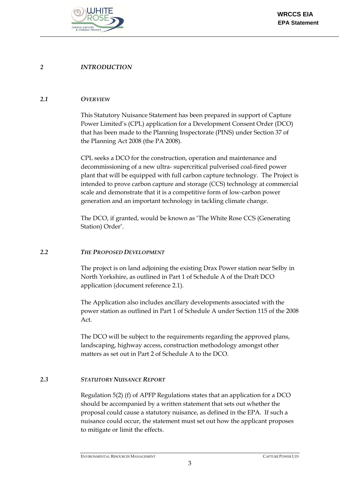

#### *2 INTRODUCTION*

#### *2.1 OVERVIEW*

This Statutory Nuisance Statement has been prepared in support of Capture Power Limited's (CPL) application for a Development Consent Order (DCO) that has been made to the Planning Inspectorate (PINS) under Section 37 of the Planning Act 2008 (the PA 2008).

CPL seeks a DCO for the construction, operation and maintenance and decommissioning of a new ultra- supercritical pulverised coal-fired power plant that will be equipped with full carbon capture technology. The Project is intended to prove carbon capture and storage (CCS) technology at commercial scale and demonstrate that it is a competitive form of low-carbon power generation and an important technology in tackling climate change.

The DCO, if granted, would be known as 'The White Rose CCS (Generating Station) Order'.

#### *2.2 THE PROPOSED DEVELOPMENT*

The project is on land adjoining the existing Drax Power station near Selby in North Yorkshire, as outlined in Part 1 of Schedule A of the Draft DCO application (document reference 2.1).

The Application also includes ancillary developments associated with the power station as outlined in Part 1 of Schedule A under Section 115 of the 2008 Act.

The DCO will be subject to the requirements regarding the approved plans, landscaping, highway access, construction methodology amongst other matters as set out in Part 2 of Schedule A to the DCO.

#### *2.3 STATUTORY NUISANCE REPORT*

Regulation 5(2) (f) of APFP Regulations states that an application for a DCO should be accompanied by a written statement that sets out whether the proposal could cause a statutory nuisance, as defined in the EPA. If such a nuisance could occur, the statement must set out how the applicant proposes to mitigate or limit the effects.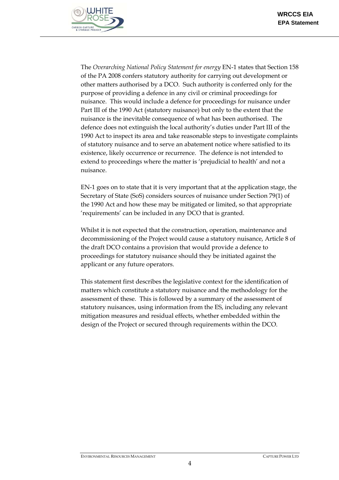

The *Overarching National Policy Statement for energy* EN-1 states that Section 158 of the PA 2008 confers statutory authority for carrying out development or other matters authorised by a DCO. Such authority is conferred only for the purpose of providing a defence in any civil or criminal proceedings for nuisance. This would include a defence for proceedings for nuisance under Part III of the 1990 Act (statutory nuisance) but only to the extent that the nuisance is the inevitable consequence of what has been authorised. The defence does not extinguish the local authority's duties under Part III of the 1990 Act to inspect its area and take reasonable steps to investigate complaints of statutory nuisance and to serve an abatement notice where satisfied to its existence, likely occurrence or recurrence. The defence is not intended to extend to proceedings where the matter is 'prejudicial to health' and not a nuisance.

EN-1 goes on to state that it is very important that at the application stage, the Secretary of State (SoS) considers sources of nuisance under Section 79(1) of the 1990 Act and how these may be mitigated or limited, so that appropriate 'requirements' can be included in any DCO that is granted.

Whilst it is not expected that the construction, operation, maintenance and decommissioning of the Project would cause a statutory nuisance, Article 8 of the draft DCO contains a provision that would provide a defence to proceedings for statutory nuisance should they be initiated against the applicant or any future operators.

This statement first describes the legislative context for the identification of matters which constitute a statutory nuisance and the methodology for the assessment of these. This is followed by a summary of the assessment of statutory nuisances, using information from the ES, including any relevant mitigation measures and residual effects, whether embedded within the design of the Project or secured through requirements within the DCO.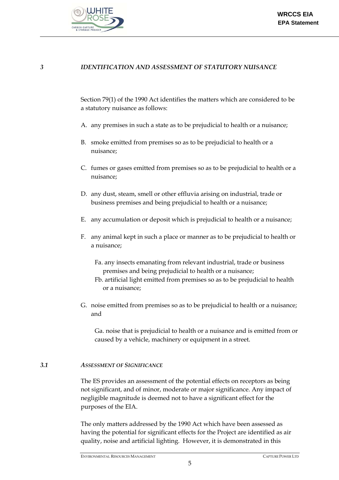

#### *3 IDENTIFICATION AND ASSESSMENT OF STATUTORY NUISANCE*

Section 79(1) of the 1990 Act identifies the matters which are considered to be a statutory nuisance as follows:

- A. any premises in such a state as to be prejudicial to health or a nuisance;
- B. smoke emitted from premises so as to be prejudicial to health or a nuisance;
- C. fumes or gases emitted from premises so as to be prejudicial to health or a nuisance;
- D. any dust, steam, smell or other effluvia arising on industrial, trade or business premises and being prejudicial to health or a nuisance;
- E. any accumulation or deposit which is prejudicial to health or a nuisance;
- F. any animal kept in such a place or manner as to be prejudicial to health or a nuisance;
	- Fa. any insects emanating from relevant industrial, trade or business premises and being prejudicial to health or a nuisance;
	- Fb. artificial light emitted from premises so as to be prejudicial to health or a nuisance;
- G. noise emitted from premises so as to be prejudicial to health or a nuisance; and

Ga. noise that is prejudicial to health or a nuisance and is emitted from or caused by a vehicle, machinery or equipment in a street.

#### *3.1 ASSESSMENT OF SIGNIFICANCE*

The ES provides an assessment of the potential effects on receptors as being not significant, and of minor, moderate or major significance. Any impact of negligible magnitude is deemed not to have a significant effect for the purposes of the EIA.

The only matters addressed by the 1990 Act which have been assessed as having the potential for significant effects for the Project are identified as air quality, noise and artificial lighting. However, it is demonstrated in this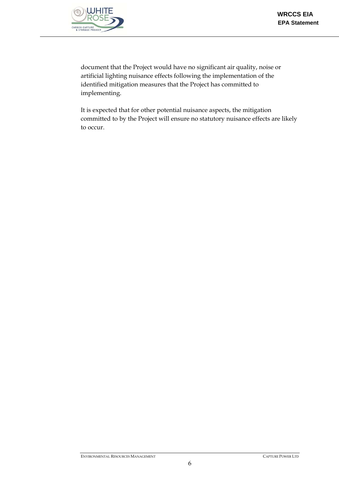

document that the Project would have no significant air quality, noise or artificial lighting nuisance effects following the implementation of the identified mitigation measures that the Project has committed to implementing.

It is expected that for other potential nuisance aspects, the mitigation committed to by the Project will ensure no statutory nuisance effects are likely to occur.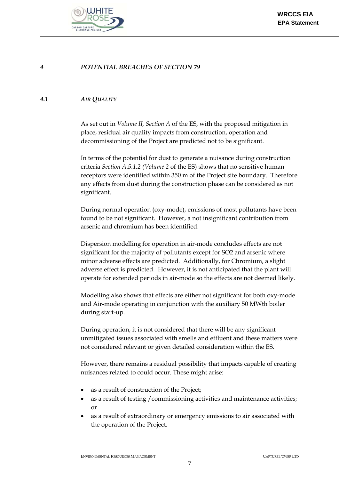

#### *4 POTENTIAL BREACHES OF SECTION 79*

#### *4.1 AIR QUALITY*

As set out in *Volume II, Section A* of the ES, with the proposed mitigation in place, residual air quality impacts from construction, operation and decommissioning of the Project are predicted not to be significant.

In terms of the potential for dust to generate a nuisance during construction criteria *Section A.5.1.2 (Volume 2* of the ES) shows that no sensitive human receptors were identified within 350 m of the Project site boundary. Therefore any effects from dust during the construction phase can be considered as not significant.

During normal operation (oxy-mode), emissions of most pollutants have been found to be not significant. However, a not insignificant contribution from arsenic and chromium has been identified.

Dispersion modelling for operation in air-mode concludes effects are not significant for the majority of pollutants except for SO2 and arsenic where minor adverse effects are predicted. Additionally, for Chromium, a slight adverse effect is predicted. However, it is not anticipated that the plant will operate for extended periods in air-mode so the effects are not deemed likely.

Modelling also shows that effects are either not significant for both oxy-mode and Air-mode operating in conjunction with the auxiliary 50 MWth boiler during start-up.

During operation, it is not considered that there will be any significant unmitigated issues associated with smells and effluent and these matters were not considered relevant or given detailed consideration within the ES.

However, there remains a residual possibility that impacts capable of creating nuisances related to could occur. These might arise:

- as a result of construction of the Project;
- as a result of testing /commissioning activities and maintenance activities; or
- as a result of extraordinary or emergency emissions to air associated with the operation of the Project.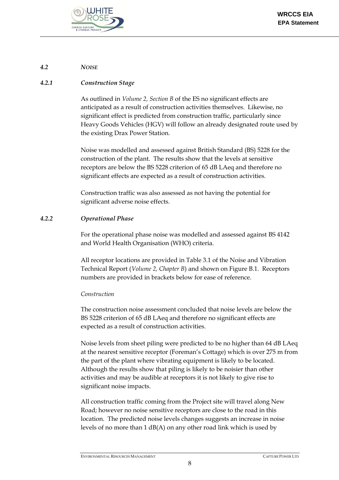

#### *4.2 NOISE*

### *4.2.1 Construction Stage*

As outlined in *Volume 2, Section B* of the ES no significant effects are anticipated as a result of construction activities themselves. Likewise, no significant effect is predicted from construction traffic, particularly since Heavy Goods Vehicles (HGV) will follow an already designated route used by the existing Drax Power Station.

Noise was modelled and assessed against British Standard (BS) 5228 for the construction of the plant. The results show that the levels at sensitive receptors are below the BS 5228 criterion of 65 dB LAeq and therefore no significant effects are expected as a result of construction activities.

Construction traffic was also assessed as not having the potential for significant adverse noise effects.

#### *4.2.2 Operational Phase*

For the operational phase noise was modelled and assessed against BS 4142 and World Health Organisation (WHO) criteria.

All receptor locations are provided in Table 3.1 of the Noise and Vibration Technical Report (*Volume 2, Chapter B*) and shown on Figure B.1. Receptors numbers are provided in brackets below for ease of reference.

#### *Construction*

The construction noise assessment concluded that noise levels are below the BS 5228 criterion of 65 dB LAeq and therefore no significant effects are expected as a result of construction activities.

Noise levels from sheet piling were predicted to be no higher than 64 dB LAeq at the nearest sensitive receptor (Foreman's Cottage) which is over 275 m from the part of the plant where vibrating equipment is likely to be located. Although the results show that piling is likely to be noisier than other activities and may be audible at receptors it is not likely to give rise to significant noise impacts.

All construction traffic coming from the Project site will travel along New Road; however no noise sensitive receptors are close to the road in this location. The predicted noise levels changes suggests an increase in noise levels of no more than 1 dB(A) on any other road link which is used by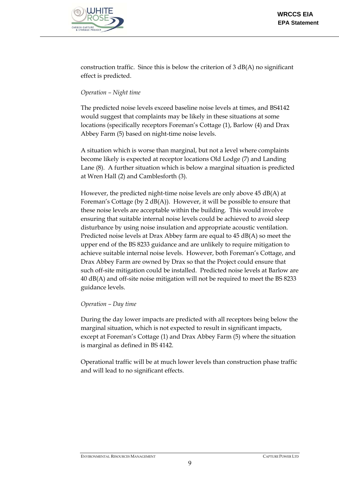

construction traffic. Since this is below the criterion of 3 dB(A) no significant effect is predicted.

# *Operation – Night time*

The predicted noise levels exceed baseline noise levels at times, and BS4142 would suggest that complaints may be likely in these situations at some locations (specifically receptors Foreman's Cottage (1), Barlow (4) and Drax Abbey Farm (5) based on night-time noise levels.

A situation which is worse than marginal, but not a level where complaints become likely is expected at receptor locations Old Lodge (7) and Landing Lane (8). A further situation which is below a marginal situation is predicted at Wren Hall (2) and Camblesforth (3).

However, the predicted night-time noise levels are only above 45 dB(A) at Foreman's Cottage (by 2 dB(A)). However, it will be possible to ensure that these noise levels are acceptable within the building. This would involve ensuring that suitable internal noise levels could be achieved to avoid sleep disturbance by using noise insulation and appropriate acoustic ventilation. Predicted noise levels at Drax Abbey farm are equal to 45 dB(A) so meet the upper end of the BS 8233 guidance and are unlikely to require mitigation to achieve suitable internal noise levels. However, both Foreman's Cottage, and Drax Abbey Farm are owned by Drax so that the Project could ensure that such off-site mitigation could be installed. Predicted noise levels at Barlow are 40 dB(A) and off-site noise mitigation will not be required to meet the BS 8233 guidance levels.

## *Operation – Day time*

During the day lower impacts are predicted with all receptors being below the marginal situation, which is not expected to result in significant impacts, except at Foreman's Cottage (1) and Drax Abbey Farm (5) where the situation is marginal as defined in BS 4142.

Operational traffic will be at much lower levels than construction phase traffic and will lead to no significant effects.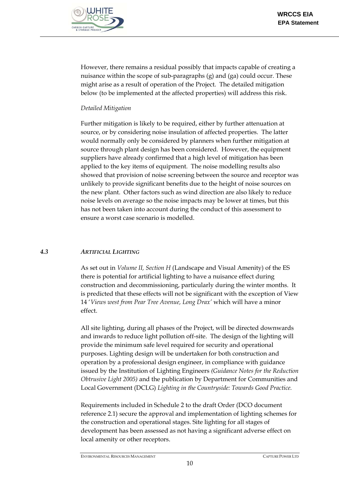

However, there remains a residual possibly that impacts capable of creating a nuisance within the scope of sub-paragraphs (g) and (ga) could occur. These might arise as a result of operation of the Project. The detailed mitigation below (to be implemented at the affected properties) will address this risk.

#### *Detailed Mitigation*

Further mitigation is likely to be required, either by further attenuation at source, or by considering noise insulation of affected properties. The latter would normally only be considered by planners when further mitigation at source through plant design has been considered. However, the equipment suppliers have already confirmed that a high level of mitigation has been applied to the key items of equipment. The noise modelling results also showed that provision of noise screening between the source and receptor was unlikely to provide significant benefits due to the height of noise sources on the new plant. Other factors such as wind direction are also likely to reduce noise levels on average so the noise impacts may be lower at times, but this has not been taken into account during the conduct of this assessment to ensure a worst case scenario is modelled.

## *4.3 ARTIFICIAL LIGHTING*

As set out in *Volume II, Section H* (Landscape and Visual Amenity) of the ES there is potential for artificial lighting to have a nuisance effect during construction and decommissioning, particularly during the winter months. It is predicted that these effects will not be significant with the exception of View 14 '*Views west from Pear Tree Avenue, Long Drax'* which will have a minor effect.

All site lighting, during all phases of the Project, will be directed downwards and inwards to reduce light pollution off-site. The design of the lighting will provide the minimum safe level required for security and operational purposes. Lighting design will be undertaken for both construction and operation by a professional design engineer, in compliance with guidance issued by the Institution of Lighting Engineers *(Guidance Notes for the Reduction Obtrusive Light 2005)* and the publication by Department for Communities and Local Government (DCLG) *Lighting in the Countryside: Towards Good Practice.*

Requirements included in Schedule 2 to the draft Order (DCO document reference 2.1) secure the approval and implementation of lighting schemes for the construction and operational stages. Site lighting for all stages of development has been assessed as not having a significant adverse effect on local amenity or other receptors.